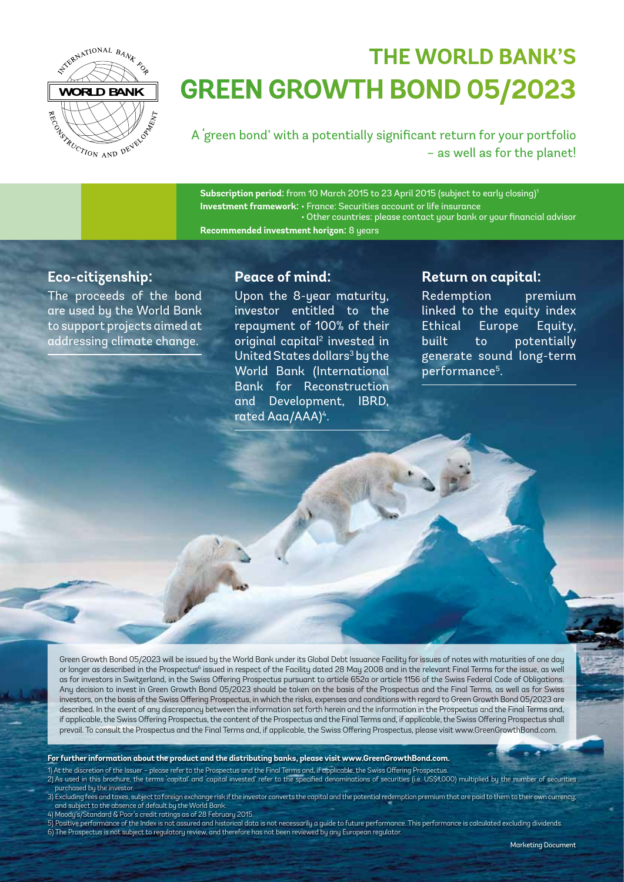

# **The World Bank's Green Growth Bond 05/2023**

A 'green bond' with a potentially significant return for your portfolio – as well as for the planet!

**Subscription period:** from 10 March 2015 to 23 April 2015 (subject to early closing)1 **Investment framework:** • France: Securities account or life insurance • Other countries: please contact your bank or your financial advisor **Recommended investment horizon:** 8 years

### **Eco-citizenship:**

The proceeds of the bond are used by the World Bank to support projects aimed at addressing climate change.

## **Peace of mind:**

Upon the 8-year maturity, investor entitled to the repayment of 100% of their original capital<sup>2</sup> invested in United States dollars<sup>3</sup> by the World Bank (International Bank for Reconstruction and Development, IBRD, rated Aaa/AAA)4.

### **Return on capital:**

Redemption premium linked to the equity index Ethical Europe Equity, built to potentially generate sound long-term performance5.

Green Growth Bond 05/2023 will be issued by the World Bank under its Global Debt Issuance Facility for issues of notes with maturities of one day or longer as described in the Prospectus6 issued in respect of the Facility dated 28 May 2008 and in the relevant Final Terms for the issue, as well as for investors in Switzerland, in the Swiss Offering Prospectus pursuant to article 652a or article 1156 of the Swiss Federal Code of Obligations. Any decision to invest in Green Growth Bond 05/2023 should be taken on the basis of the Prospectus and the Final Terms, as well as for Swiss investors, on the basis of the Swiss Offering Prospectus, in which the risks, expenses and conditions with regard to Green Growth Bond 05/2023 are described. In the event of any discrepancy between the information set forth herein and the information in the Prospectus and the Final Terms and, if applicable, the Swiss Offering Prospectus, the content of the Prospectus and the Final Terms and, if applicable, the Swiss Offering Prospectus shall prevail. To consult the Prospectus and the Final Terms and, if applicable, the Swiss Offering Prospectus, please visit www.GreenGrowthBond.com.

**For further information about the product and the distributing banks, please visit www.GreenGrowthBond.com.** 

- 1) At the discretion of the Issuer please refer to the Prospectus and the Final Terms and, if applicable, the Swiss Offering Prospectus. 2) As used in this brochure, the terms 'capital' and 'capital invested' refer to the specified denominations of securities (i.e. US\$1,000) multiplied by the number of securities purchased by the investor.
- 3) Excluding fees and taxes, subject to foreign exchange risk if the investor converts the capital and the potential redemption premium that are paid to them to their own currency, and subject to the absence of default by the World Bank.
- 4) Moody's/Standard & Poor's credit ratings as of 28 February 2015.
- 5) Positive performance of the Index is not assured and historical data is not necessarily a guide to future performance. This performance is calculated excluding dividends. 6) The Prospectus is not subject to regulatory review, and therefore has not been reviewed by any European regulator.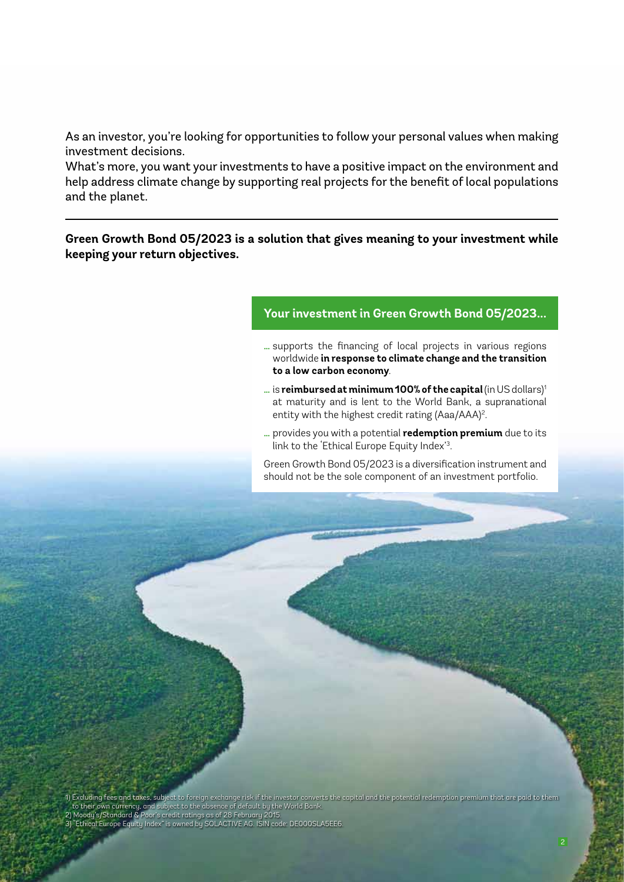As an investor, you're looking for opportunities to follow your personal values when making investment decisions.

What's more, you want your investments to have a positive impact on the environment and help address climate change by supporting real projects for the benefit of local populations and the planet.

**Green Growth Bond 05/2023 is a solution that gives meaning to your investment while keeping your return objectives.**

#### **Your investment in Green Growth Bond 05/2023...**

- **…** supports the financing of local projects in various regions worldwide **in response to climate change and the transition to a low carbon economy**.
- **…** is **reimbursed at minimum 100% of the capital** (in US dollars)1 at maturity and is lent to the World Bank, a supranational entity with the highest credit rating (Aaa/AAA)<sup>2</sup>.
- **…** provides you with a potential **redemption premium** due to its link to the 'Ethical Europe Equity Index'3.

Green Growth Bond 05/2023 is a diversification instrument and should not be the sole component of an investment portfolio.

1) Excluding fees and taxes, subject to foreign exchange risk if the investor converts the capital and the potential redemption premium that are paid to them to their own currency, and subject to the absence of default by the World Bank. 2) Moody's/Standard & Poor's credit ratings as of 28 February 2015. 3) "Ethical Europe Equity Index" is owned by SOLACTIVE AG. ISIN code: DE000SLA5EE6.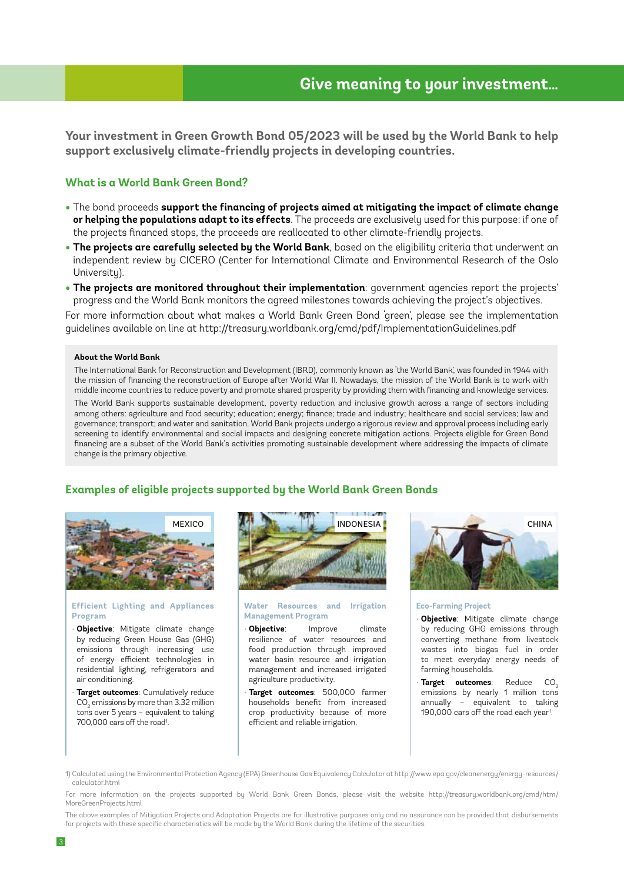**Your investment in Green Growth Bond 05/2023 will be used by the World Bank to help support exclusively climate-friendly projects in developing countries.**

#### **What is a World Bank Green Bond?**

- The bond proceeds **support the financing of projects aimed at mitigating the impact of climate change or helping the populations adapt to its effects**. The proceeds are exclusively used for this purpose: if one of the projects financed stops, the proceeds are reallocated to other climate-friendly projects.
- **The projects are carefully selected by the World Bank**, based on the eligibility criteria that underwent an independent review by CICERO (Center for International Climate and Environmental Research of the Oslo Universitu).
- **The projects are monitored throughout their implementation**: government agencies report the projects' progress and the World Bank monitors the agreed milestones towards achieving the project's objectives.

For more information about what makes a World Bank Green Bond 'green', please see the implementation guidelines available on line at http://treasury.worldbank.org/cmd/pdf/ImplementationGuidelines.pdf

#### **About the World Bank**

The International Bank for Reconstruction and Development (IBRD), commonly known as 'the World Bank', was founded in 1944 with the mission of financing the reconstruction of Europe after World War II. Nowadays, the mission of the World Bank is to work with middle income countries to reduce poverty and promote shared prosperity by providing them with financing and knowledge services. The World Bank supports sustainable development, poverty reduction and inclusive growth across a range of sectors including among others: agriculture and food security; education; energy; finance; trade and industry; healthcare and social services; law and governance; transport; and water and sanitation. World Bank projects undergo a rigorous review and approval process including early screening to identify environmental and social impacts and designing concrete mitigation actions. Projects eligible for Green Bond financing are a subset of the World Bank's activities promoting sustainable development where addressing the impacts of climate change is the primary objective.

#### **Examples of eligible projects supported by the World Bank Green Bonds**



#### **Efficient Lighting and Appliances Program**

- **Objective**: Mitigate climate change by reducing Green House Gas (GHG) emissions through increasing use of energy efficient technologies in residential lighting, refrigerators and air conditioning.
- **Target outcomes**: Cumulatively reduce CO $_{\tiny 2}$  emissions by more than 3.32 million tons over 5 years – equivalent to taking 700,000 cars off the road<sup>1</sup>.



**Water Resources and Irrigation Management Program**

- **Objective**: Improve climate resilience of water resources and food production through improved water basin resource and irrigation management and increased irrigated agriculture productivity.
- **Target outcomes**: 500,000 farmer households benefit from increased crop productivity because of more efficient and reliable irrigation.



#### **Eco-Farming Project**

- **Objective**: Mitigate climate change by reducing GHG emissions through converting methane from livestock wastes into biogas fuel in order to meet everyday energy needs of farming households.
- **Target outcomes**: Reduce CO<sub>2</sub> emissions by nearly 1 million tons annually – equivalent to taking 190,000 cars off the road each year<sup>1</sup>.
- 1) Calculated using the Environmental Protection Agency (EPA) Greenhouse Gas Equivalency Calculator at http://www.epa.gov/cleanenergy/energy-resources/ calculator.html

For more information on the projects supported by World Bank Green Bonds, please visit the website http://treasury.worldbank.org/cmd/htm/ MoreGreenProjects.html

The above examples of Mitigation Projects and Adaptation Projects are for illustrative purposes only and no assurance can be provided that disbursements for projects with these specific characteristics will be made by the World Bank during the lifetime of the securities.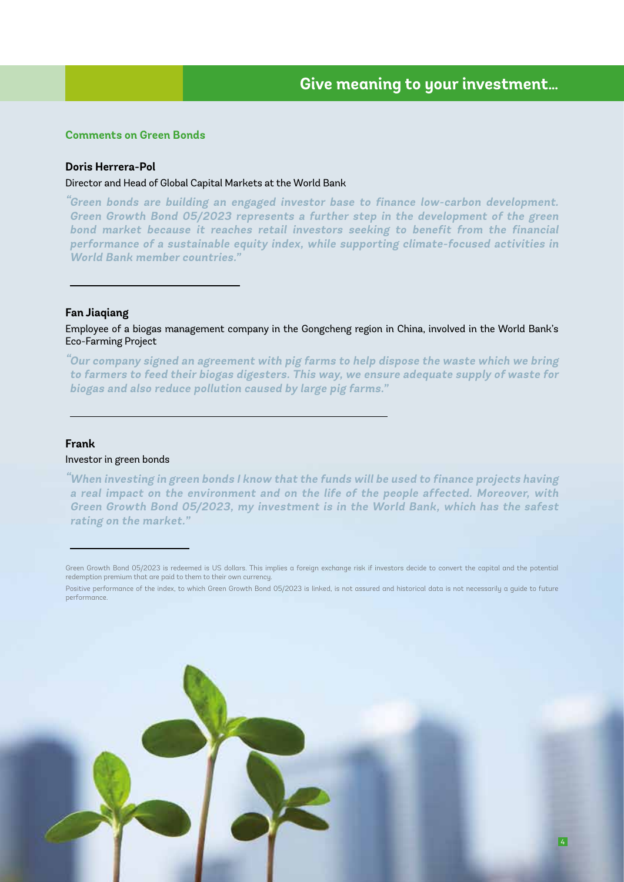#### **Comments on Green Bonds**

#### **Doris Herrera-Pol**

Director and Head of Global Capital Markets at the World Bank

**"Green bonds are building an engaged investor base to finance low-carbon development. Green Growth Bond 05/2023 represents a further step in the development of the green bond market because it reaches retail investors seeking to benefit from the financial performance of a sustainable equity index, while supporting climate-focused activities in World Bank member countries."**

#### **Fan Jiaqiang**

Employee of a biogas management company in the Gongcheng region in China, involved in the World Bank's Eco-Farming Project

**" Our company signed an agreement with pig farms to help dispose the waste which we bring to farmers to feed their biogas digesters. This way, we ensure adequate supply of waste for biogas and also reduce pollution caused by large pig farms."** 

#### **Frank**

#### Investor in green bonds

**"When investing in green bonds I know that the funds will be used to finance projects having a real impact on the environment and on the life of the people affected. Moreover, with Green Growth Bond 05/2023, my investment is in the World Bank, which has the safest rating on the market."**

Positive performance of the index, to which Green Growth Bond 05/2023 is linked, is not assured and historical data is not necessarily a guide to future performance.



Green Growth Bond 05/2023 is redeemed is US dollars. This implies a foreign exchange risk if investors decide to convert the capital and the potential redemption premium that are paid to them to their own currency.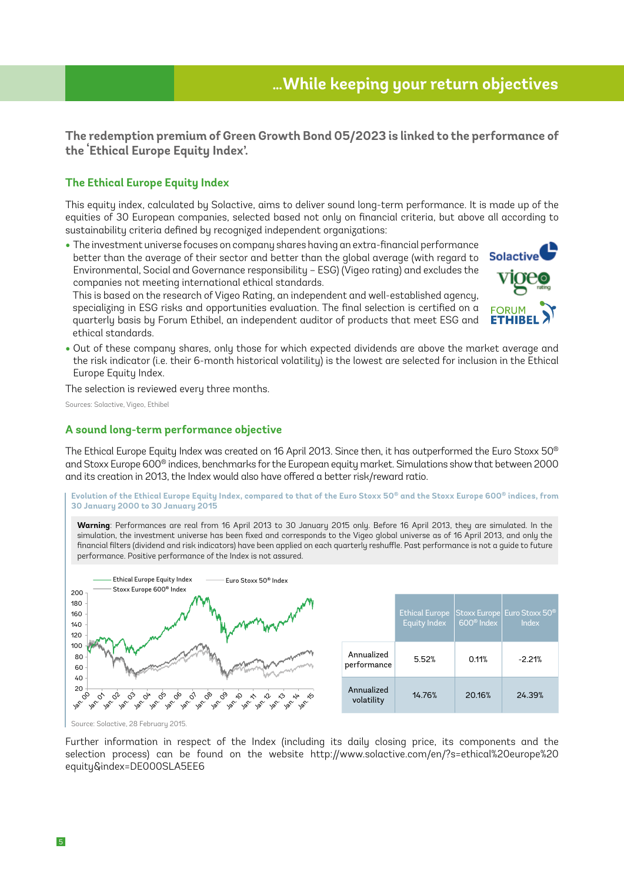**The redemption premium of Green Growth Bond 05/2023 is linked to the performance of the 'Ethical Europe Equity Index'.**

#### **The Ethical Europe Equity Index**

This equity index, calculated by Solactive, aims to deliver sound long-term performance. It is made up of the equities of 30 European companies, selected based not only on financial criteria, but above all according to sustainability criteria defined by recognized independent organizations:

**•** The investment universe focuses on company shares having an extra-financial performance better than the average of their sector and better than the global average (with regard to Environmental, Social and Governance responsibility – ESG) (Vigeo rating) and excludes the companies not meeting international ethical standards.

This is based on the research of Vigeo Rating, an independent and well-established agency, specializing in ESG risks and opportunities evaluation. The final selection is certified on a quarterly basis by Forum Ethibel, an independent auditor of products that meet ESG and ethical standards.



**•** Out of these company shares, only those for which expected dividends are above the market average and the risk indicator (i.e. their 6-month historical volatility) is the lowest are selected for inclusion in the Ethical Europe Equity Index.

The selection is reviewed every three months.

Sources: Solactive, Vigeo, Ethibel

#### **A sound long-term performance objective**

The Ethical Europe Equity Index was created on 16 April 2013. Since then, it has outperformed the Euro Stoxx 50<sup>®</sup> and Stoxx Europe 600® indices, benchmarks for the European equity market. Simulations show that between 2000 and its creation in 2013, the Index would also have offered a better risk/reward ratio.



**Warning**: Performances are real from 16 April 2013 to 30 January 2015 only. Before 16 April 2013, they are simulated. In the simulation, the investment universe has been fixed and corresponds to the Vigeo global universe as of 16 April 2013, and only the financial filters (dividend and risk indicators) have been applied on each quarterly reshuffle. Past performance is not a guide to future performance. Positive performance of the Index is not assured.



Further information in respect of the Index (including its daily closing price, its components and the selection process) can be found on the website http://www.solactive.com/en/?s=ethical%20europe%20 equity&index=DE000SLA5EE6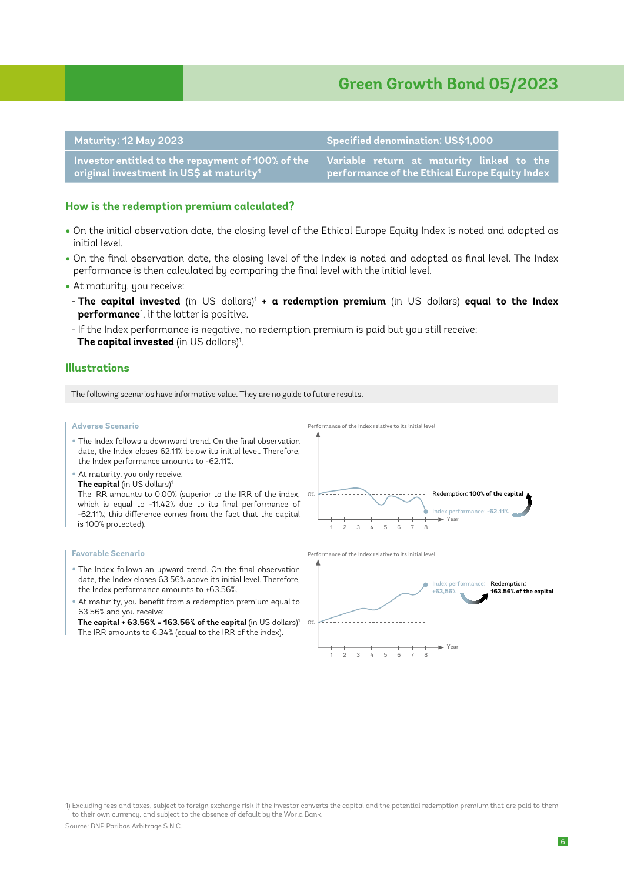# **Green Growth Bond 05/2023**

| Maturity: 12 May 2023                                | <b>Specified denomination: US\$1,000</b>                               |
|------------------------------------------------------|------------------------------------------------------------------------|
| Investor entitled to the repayment of 100% of the    | Variable return at maturity linked to the                              |
| original investment in US\$ at maturity <sup>1</sup> | $^{\prime}~$ performance of the Ethical Europe Equity Index $_{\rm J}$ |

#### **How is the redemption premium calculated?**

- On the initial observation date, the closing level of the Ethical Europe Equity Index is noted and adopted as initial level.
- On the final observation date, the closing level of the Index is noted and adopted as final level. The Index performance is then calculated by comparing the final level with the initial level.
- At maturity, you receive:
- **The capital invested** (in US dollars)<sup>1</sup> + a redemption premium (in US dollars) equal to the Index **performance**<sup>1</sup> , if the latter is positive.
- If the Index performance is negative, no redemption premium is paid but you still receive: **The capital invested** (in US dollars)<sup>1</sup>.

#### **Illustrations**

The following scenarios have informative value. They are no guide to future results.

#### **Adverse Scenario**

- The Index follows a downward trend. On the final observation date, the Index closes 62.11% below its initial level. Therefore, the Index performance amounts to -62.11%.
- At maturity, you only receive:

**The capital** (in US dollars)<sup>1</sup> The IRR amounts to 0.00% (superior to the IRR of the index, which is equal to -11.42% due to its final performance of -62.11%; this difference comes from the fact that the capital is 100% protected).

- The Index follows an upward trend. On the final observation date, the Index closes 63.56% above its initial level. Therefore, the Index performance amounts to +63.56%.
- At maturity, you benefit from a redemption premium equal to 63.56% and you receive:

**The capital + 63.56% = 163.56% of the capital** (in US dollars)1 The IRR amounts to 6.34% (equal to the IRR of the index).



**Favorable Scenario Performance of the Index relative to its initial level Performance of the Index relative to its initial level** 



Source: BNP Paribas Arbitrage S.N.C.

<sup>1)</sup> Excluding fees and taxes, subject to foreign exchange risk if the investor converts the capital and the potential redemption premium that are paid to them to their own currency, and subject to the absence of default by the World Bank.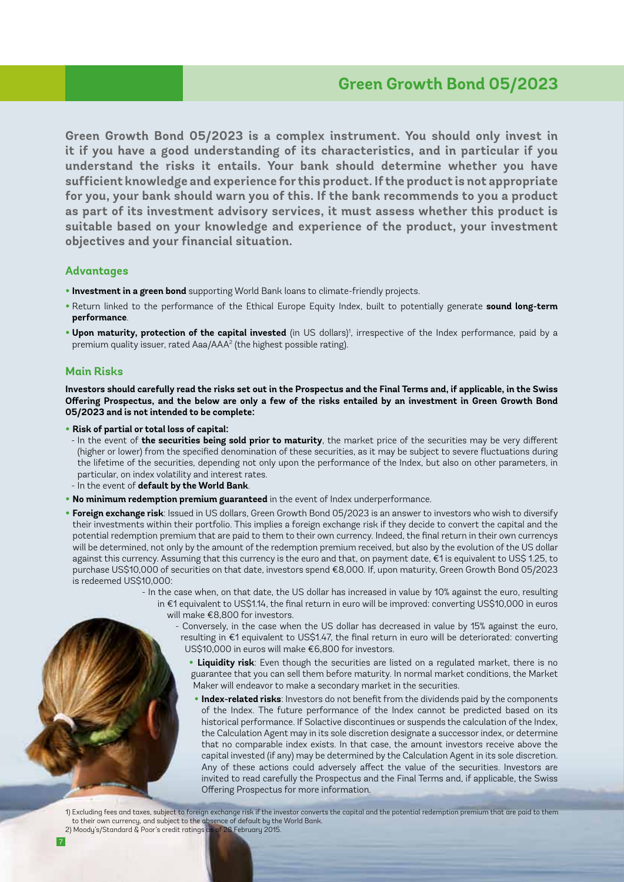**Green Growth Bond 05/2023 is a complex instrument. You should only invest in it if you have a good understanding of its characteristics, and in particular if you understand the risks it entails. Your bank should determine whether you have sufficient knowledge and experience for this product. If the product is not appropriate for you, your bank should warn you of this. If the bank recommends to you a product as part of its investment advisory services, it must assess whether this product is suitable based on your knowledge and experience of the product, your investment objectives and your financial situation.**

#### **Advantages**

- **•Investment in a green bond** supporting World Bank loans to climate-friendly projects.
- **•** Return linked to the performance of the Ethical Europe Equity Index, built to potentially generate **sound long-term performance**.
- . Upon maturity, protection of the capital invested (in US dollars)<sup>1</sup>, irrespective of the Index performance, paid by a premium quality issuer, rated Aaa/AAA $^{\rm 2}$  (the highest possible rating).

#### **Main Risks**

**Investors should carefully read the risks set out in the Prospectus and the Final Terms and, if applicable, in the Swiss Offering Prospectus, and the below are only a few of the risks entailed by an investment in Green Growth Bond 05/2023 and is not intended to be complete:**

**• Risk of partial or total loss of capital:**

- In the event of **the securities being sold prior to maturity**, the market price of the securities may be very different (higher or lower) from the specified denomination of these securities, as it may be subject to severe fluctuations during the lifetime of the securities, depending not only upon the performance of the Index, but also on other parameters, in particular, on index volatility and interest rates.
- In the event of **default by the World Bank**.
- **• No minimum redemption premium guaranteed** in the event of Index underperformance.
- **• Foreign exchange risk**: Issued in US dollars, Green Growth Bond 05/2023 is an answer to investors who wish to diversify their investments within their portfolio. This implies a foreign exchange risk if they decide to convert the capital and the potential redemption premium that are paid to them to their own currency. Indeed, the final return in their own currencys will be determined, not only by the amount of the redemption premium received, but also by the evolution of the US dollar against this currency. Assuming that this currency is the euro and that, on payment date, €1 is equivalent to US\$ 1.25, to purchase US\$10,000 of securities on that date, investors spend €8,000. If, upon maturity, Green Growth Bond 05/2023 is redeemed US\$10,000:

- In the case when, on that date, the US dollar has increased in value by 10% against the euro, resulting in €1 equivalent to US\$1.14, the final return in euro will be improved: converting US\$10,000 in euros will make €8,800 for investors.

- Conversely, in the case when the US dollar has decreased in value by 15% against the euro, resulting in €1 equivalent to US\$1.47, the final return in euro will be deteriorated: converting US\$10,000 in euros will make €6,800 for investors.
	- **• Liquidity risk**: Even though the securities are listed on a regulated market, there is no guarantee that you can sell them before maturity. In normal market conditions, the Market Maker will endeavor to make a secondary market in the securities.
	- **• Index-related risks**: Investors do not benefit from the dividends paid by the components of the Index. The future performance of the Index cannot be predicted based on its historical performance. If Solactive discontinues or suspends the calculation of the Index, the Calculation Agent may in its sole discretion designate a successor index, or determine that no comparable index exists. In that case, the amount investors receive above the capital invested (if any) may be determined by the Calculation Agent in its sole discretion. Any of these actions could adversely affect the value of the securities. Investors are invited to read carefully the Prospectus and the Final Terms and, if applicable, the Swiss Offering Prospectus for more information.
- 1) Excluding fees and taxes, subject to foreign exchange risk if the investor converts the capital and the potential redemption premium that are paid to them to their own currency, and subject to the absence of default by the World Bank.